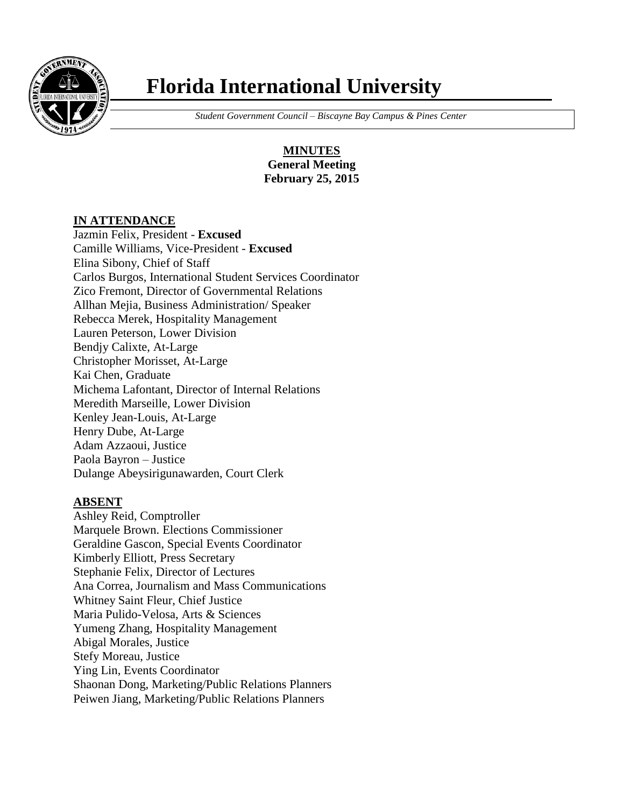

# **Florida International University**

 *Student Government Council – Biscayne Bay Campus & Pines Center*

**MINUTES General Meeting February 25, 2015**

## **IN ATTENDANCE**

Jazmin Felix, President - **Excused** Camille Williams, Vice-President - **Excused** Elina Sibony, Chief of Staff Carlos Burgos, International Student Services Coordinator Zico Fremont, Director of Governmental Relations Allhan Mejia, Business Administration/ Speaker Rebecca Merek, Hospitality Management Lauren Peterson, Lower Division Bendjy Calixte, At-Large Christopher Morisset, At-Large Kai Chen, Graduate Michema Lafontant, Director of Internal Relations Meredith Marseille, Lower Division Kenley Jean-Louis, At-Large Henry Dube, At-Large Adam Azzaoui, Justice Paola Bayron – Justice Dulange Abeysirigunawarden, Court Clerk

## **ABSENT**

Ashley Reid, Comptroller Marquele Brown. Elections Commissioner Geraldine Gascon, Special Events Coordinator Kimberly Elliott, Press Secretary Stephanie Felix, Director of Lectures Ana Correa, Journalism and Mass Communications Whitney Saint Fleur, Chief Justice Maria Pulido-Velosa, Arts & Sciences Yumeng Zhang, Hospitality Management Abigal Morales, Justice Stefy Moreau, Justice Ying Lin, Events Coordinator Shaonan Dong, Marketing/Public Relations Planners Peiwen Jiang, Marketing/Public Relations Planners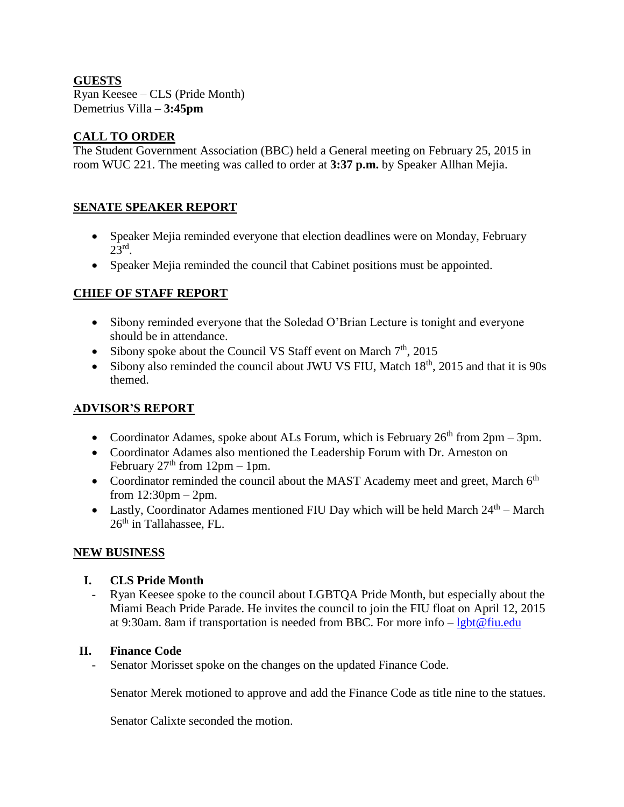### **GUESTS**

Ryan Keesee – CLS (Pride Month) Demetrius Villa – **3:45pm**

## **CALL TO ORDER**

The Student Government Association (BBC) held a General meeting on February 25, 2015 in room WUC 221. The meeting was called to order at **3:37 p.m.** by Speaker Allhan Mejia.

## **SENATE SPEAKER REPORT**

- Speaker Mejia reminded everyone that election deadlines were on Monday, February  $23<sup>rd</sup>$ .
- Speaker Mejia reminded the council that Cabinet positions must be appointed.

# **CHIEF OF STAFF REPORT**

- Sibony reminded everyone that the Soledad O'Brian Lecture is tonight and everyone should be in attendance.
- Sibony spoke about the Council VS Staff event on March  $7<sup>th</sup>$ , 2015
- Sibony also reminded the council about JWU VS FIU, Match  $18<sup>th</sup>$ , 2015 and that it is 90s themed.

# **ADVISOR'S REPORT**

- Coordinator Adames, spoke about ALs Forum, which is February  $26<sup>th</sup>$  from  $2pm 3pm$ .
- Coordinator Adames also mentioned the Leadership Forum with Dr. Arneston on February  $27<sup>th</sup>$  from  $12$ pm – 1pm.
- Coordinator reminded the council about the MAST Academy meet and greet, March  $6<sup>th</sup>$ from 12:30pm – 2pm.
- Lastly, Coordinator Adames mentioned FIU Day which will be held March  $24<sup>th</sup>$  March  $26<sup>th</sup>$  in Tallahassee, FL.

## **NEW BUSINESS**

## **I. CLS Pride Month**

- Ryan Keesee spoke to the council about LGBTQA Pride Month, but especially about the Miami Beach Pride Parade. He invites the council to join the FIU float on April 12, 2015 at 9:30am. 8am if transportation is needed from BBC. For more info  $-\lg bt@$  fiu.edu

## **II. Finance Code**

- Senator Morisset spoke on the changes on the updated Finance Code.

Senator Merek motioned to approve and add the Finance Code as title nine to the statues.

Senator Calixte seconded the motion.